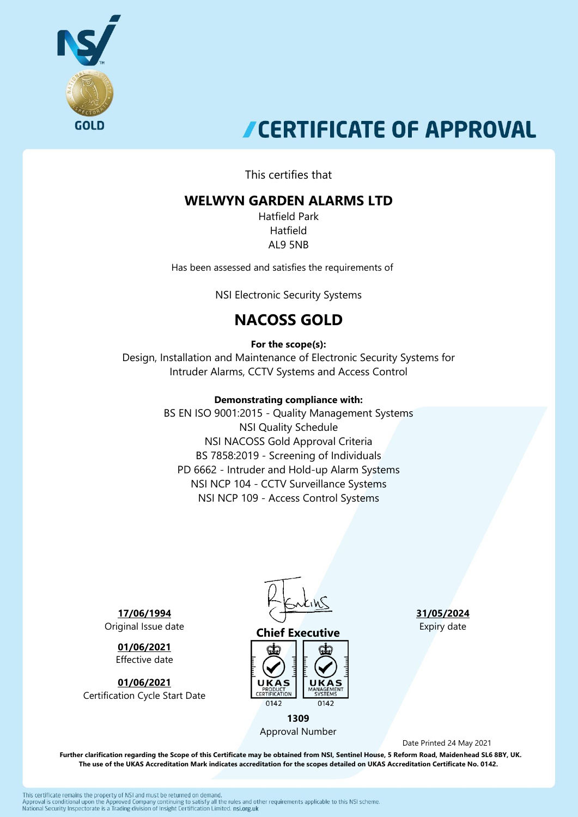

# **CERTIFICATE OF APPROVAL**

This certifies that

## **WELWYN GARDEN ALARMS LTD**

Hatfield Park Hatfield AL9 5NB

Has been assessed and satisfies the requirements of

NSI Electronic Security Systems

## **NACOSS GOLD**

#### **For the scope(s):**

Design, Installation and Maintenance of Electronic Security Systems for Intruder Alarms, CCTV Systems and Access Control

#### **Demonstrating compliance with:**

BS EN ISO 9001:2015 - Quality Management Systems NSI Quality Schedule NSI NACOSS Gold Approval Criteria BS 7858:2019 - Screening of Individuals PD 6662 - Intruder and Hold-up Alarm Systems NSI NCP 104 - CCTV Surveillance Systems NSI NCP 109 - Access Control Systems

**17/06/1994** Original Issue date

> **01/06/2021** Effective date

**01/06/2021** Certification Cycle Start Date



### **Chief Executive**



Approval Number

**31/05/2024** Expiry date

Date Printed 24 May 2021

 **Further clarification regarding the Scope of this Certificate may be obtained from NSI, Sentinel House, 5 Reform Road, Maidenhead SL6 8BY, UK. The use of the UKAS Accreditation Mark indicates accreditation for the scopes detailed on UKAS Accreditation Certificate No. 0142.**